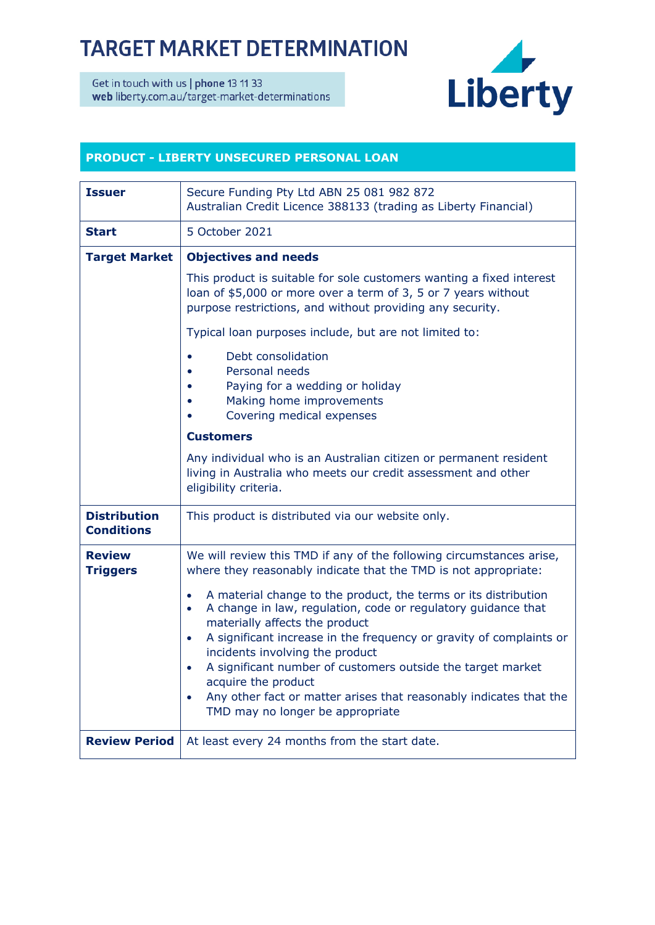## **TARGET MARKET DETERMINATION**

Get in touch with us | phone 13 11 33 web liberty.com.au/target-market-determinations



## **PRODUCT - LIBERTY UNSECURED PERSONAL LOAN**

| <b>Issuer</b>                            | Secure Funding Pty Ltd ABN 25 081 982 872<br>Australian Credit Licence 388133 (trading as Liberty Financial)                                                                                                                                                                                                                                                                                                                                                                                                                                  |
|------------------------------------------|-----------------------------------------------------------------------------------------------------------------------------------------------------------------------------------------------------------------------------------------------------------------------------------------------------------------------------------------------------------------------------------------------------------------------------------------------------------------------------------------------------------------------------------------------|
| <b>Start</b>                             | 5 October 2021                                                                                                                                                                                                                                                                                                                                                                                                                                                                                                                                |
| <b>Target Market</b>                     | <b>Objectives and needs</b>                                                                                                                                                                                                                                                                                                                                                                                                                                                                                                                   |
|                                          | This product is suitable for sole customers wanting a fixed interest<br>loan of \$5,000 or more over a term of 3, 5 or 7 years without<br>purpose restrictions, and without providing any security.                                                                                                                                                                                                                                                                                                                                           |
|                                          | Typical loan purposes include, but are not limited to:                                                                                                                                                                                                                                                                                                                                                                                                                                                                                        |
|                                          | Debt consolidation<br>Personal needs<br>Paying for a wedding or holiday<br>Making home improvements<br>Covering medical expenses                                                                                                                                                                                                                                                                                                                                                                                                              |
|                                          | <b>Customers</b>                                                                                                                                                                                                                                                                                                                                                                                                                                                                                                                              |
|                                          | Any individual who is an Australian citizen or permanent resident<br>living in Australia who meets our credit assessment and other<br>eligibility criteria.                                                                                                                                                                                                                                                                                                                                                                                   |
| <b>Distribution</b><br><b>Conditions</b> | This product is distributed via our website only.                                                                                                                                                                                                                                                                                                                                                                                                                                                                                             |
| <b>Review</b><br><b>Triggers</b>         | We will review this TMD if any of the following circumstances arise,<br>where they reasonably indicate that the TMD is not appropriate:                                                                                                                                                                                                                                                                                                                                                                                                       |
|                                          | A material change to the product, the terms or its distribution<br>$\bullet$<br>A change in law, regulation, code or regulatory guidance that<br>$\bullet$<br>materially affects the product<br>A significant increase in the frequency or gravity of complaints or<br>$\bullet$<br>incidents involving the product<br>A significant number of customers outside the target market<br>$\bullet$<br>acquire the product<br>Any other fact or matter arises that reasonably indicates that the<br>$\bullet$<br>TMD may no longer be appropriate |
| <b>Review Period</b>                     | At least every 24 months from the start date.                                                                                                                                                                                                                                                                                                                                                                                                                                                                                                 |